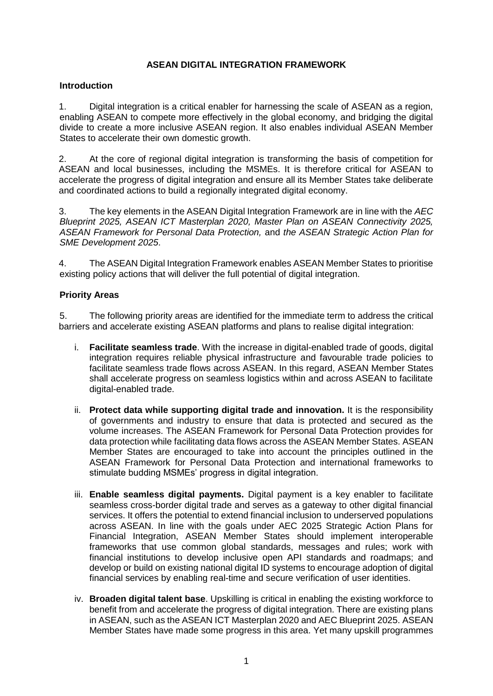## **ASEAN DIGITAL INTEGRATION FRAMEWORK**

## **Introduction**

1. Digital integration is a critical enabler for harnessing the scale of ASEAN as a region, enabling ASEAN to compete more effectively in the global economy, and bridging the digital divide to create a more inclusive ASEAN region. It also enables individual ASEAN Member States to accelerate their own domestic growth.

2. At the core of regional digital integration is transforming the basis of competition for ASEAN and local businesses, including the MSMEs. It is therefore critical for ASEAN to accelerate the progress of digital integration and ensure all its Member States take deliberate and coordinated actions to build a regionally integrated digital economy.

3. The key elements in the ASEAN Digital Integration Framework are in line with the *AEC Blueprint 2025, ASEAN ICT Masterplan 2020, Master Plan on ASEAN Connectivity 2025, ASEAN Framework for Personal Data Protection,* and *the ASEAN Strategic Action Plan for SME Development 2025*.

4. The ASEAN Digital Integration Framework enables ASEAN Member States to prioritise existing policy actions that will deliver the full potential of digital integration.

## **Priority Areas**

5. The following priority areas are identified for the immediate term to address the critical barriers and accelerate existing ASEAN platforms and plans to realise digital integration:

- i. **Facilitate seamless trade**. With the increase in digital-enabled trade of goods, digital integration requires reliable physical infrastructure and favourable trade policies to facilitate seamless trade flows across ASEAN. In this regard, ASEAN Member States shall accelerate progress on seamless logistics within and across ASEAN to facilitate digital-enabled trade.
- ii. **Protect data while supporting digital trade and innovation.** It is the responsibility of governments and industry to ensure that data is protected and secured as the volume increases. The ASEAN Framework for Personal Data Protection provides for data protection while facilitating data flows across the ASEAN Member States. ASEAN Member States are encouraged to take into account the principles outlined in the ASEAN Framework for Personal Data Protection and international frameworks to stimulate budding MSMEs' progress in digital integration.
- iii. **Enable seamless digital payments.** Digital payment is a key enabler to facilitate seamless cross-border digital trade and serves as a gateway to other digital financial services. It offers the potential to extend financial inclusion to underserved populations across ASEAN. In line with the goals under AEC 2025 Strategic Action Plans for Financial Integration, ASEAN Member States should implement interoperable frameworks that use common global standards, messages and rules; work with financial institutions to develop inclusive open API standards and roadmaps; and develop or build on existing national digital ID systems to encourage adoption of digital financial services by enabling real-time and secure verification of user identities.
- iv. **Broaden digital talent base**. Upskilling is critical in enabling the existing workforce to benefit from and accelerate the progress of digital integration. There are existing plans in ASEAN, such as the ASEAN ICT Masterplan 2020 and AEC Blueprint 2025. ASEAN Member States have made some progress in this area. Yet many upskill programmes